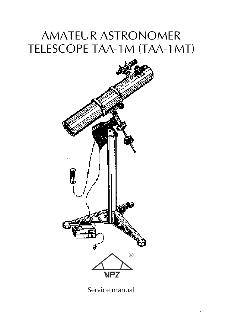# AMATEUR ASTRONOMER TELESCOPE TAA-1M (TAA-1MT)



Service manual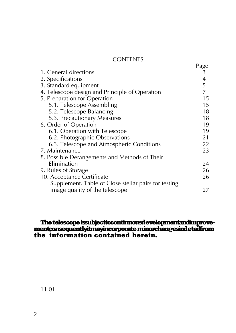#### **CONTENTS**

|                                                      | Page<br>3     |
|------------------------------------------------------|---------------|
| 1. General directions                                |               |
| 2. Specifications                                    | $\frac{4}{5}$ |
| 3. Standard equipment                                |               |
| 4. Telescope design and Principle of Operation       | 7             |
| 5. Preparation for Operation                         | 15            |
| 5.1. Telescope Assembling                            | 15            |
| 5.2. Telescope Balancing                             | 18            |
| 5.3. Precautionary Measures                          | 18            |
| 6. Order of Operation                                | 19            |
| 6.1. Operation with Telescope                        | 19            |
| 6.2. Photographic Observations                       | 21            |
| 6.3. Telescope and Atmospheric Conditions            | 22            |
| 7. Maintenance                                       | 23            |
| 8. Possible Derangements and Methods of Their        |               |
| Elimination                                          | 24            |
| 9. Rules of Storage                                  | 26            |
| 10. Acceptance Certificate                           | 26            |
| Supplement. Table of Close stellar pairs for testing |               |
| image quality of the telescope                       | 27            |

#### The telescope issubjecttocontinuousd evelopmentandimprovement; onsequently it may incorporate minor changes indetail from the information contained herein.

11.01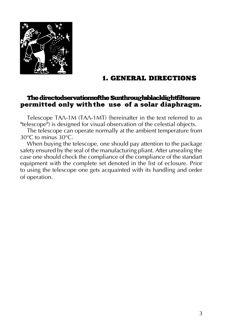

#### 1. GENERAL DIRECTIONS

#### The directodservations of the Sunthrough a black light filterare permitted only with the use of a solar diaphragm.

Telescope ТАЛ-1М (ТАЛ-1МТ) (hereinafter in the text referred to as "telescope") is designed for visual observation of the celestial objects.

The telescope can operate normally at the ambient temperature from 30°C to minus 30°C.

When buying the telescope, one should pay attention to the package safety ensured by the seal of the manufacturing pliant. After unsealing the case one should check the compliance of the compliance of the standart equipment with the complete set denoted in the list of eclosure. Prior to using the telescope one gets acquainted with its handling and order of operation.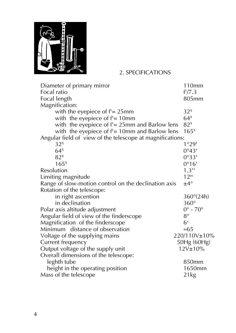

#### 2. SPECIFICATIONS

| Diameter of primary mirror                                | 110mm                  |
|-----------------------------------------------------------|------------------------|
| Focal ratio                                               | f'/7.3                 |
| Focal length                                              | 805mm                  |
| Magnification:                                            |                        |
| with the eyepiece of $f' = 25$ mm                         | $32^x$                 |
| with the eyepiece of $f' = 10$ mm                         | $64^x$                 |
| with the eyepiece of $f' = 25$ mm and Barlow lens         | $82^x$                 |
| with the eyepiece of $f' = 10$ mm and Barlow lens         | $165^x$                |
| Angular field of view of the telescope at magnifications: |                        |
| $32^x$                                                    | 1°29'                  |
| $64^x$                                                    | 0°43'                  |
| $82^x$                                                    | 0°33'                  |
| $165^x$                                                   | 0°16'                  |
| Resolution                                                | $1.3$ "                |
| Limiting magnitude                                        | 12 <sup>m</sup>        |
| Range of slow-motion control on the declination axis      | $±4^{\circ}$           |
| Rotation of the telescope:                                |                        |
| in right ascention                                        | $360^{\circ}(24h)$     |
| in declination                                            | $360^\circ$            |
| Polar axis altitude adjustment                            | $0^\circ$ - $70^\circ$ |
| Angular field of view of the finderscope                  | $8^{\circ}$            |
| Magnification of the finderscope                          | $6^x$                  |
| Minimum distance of observation                           | $\approx 65$           |
| Voltage of the supplying mains                            | 220/110V±10%           |
| Current frequency                                         | 50Hg (60Hg)            |
| Output voltage of the supply unit                         | 12V±10%                |
| Overall dimensions of the telescope:                      |                        |
| leghth tube                                               | 850mm                  |
| height in the operating position                          | 1650mm                 |
| Mass of the telescope                                     | 21kg                   |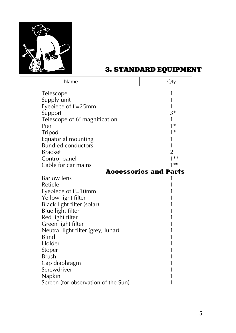

# 3. standarD equipment

| Name                                      | Qty                          |
|-------------------------------------------|------------------------------|
| Telescope                                 | 1                            |
| Supply unit                               | 1                            |
| Eyepiece of f'=25mm                       | 1                            |
| Support                                   | $3*$                         |
| Telescope of 6 <sup>x</sup> magnification |                              |
| Pier                                      | $1*$                         |
| Tripod                                    | $1*$                         |
| Equatorial mounting                       | 1                            |
| <b>Bundled conductors</b>                 | 1                            |
| <b>Bracket</b>                            | $\overline{2}$               |
| Control panel                             | $***$                        |
| Cable for car mains                       | 1**                          |
|                                           | <b>Accessories and Parts</b> |
| <b>Barlow</b> lens                        |                              |
| Reticle                                   |                              |
| Eyepiece of f'=10mm                       |                              |
| Yellow light filter                       |                              |
| Black light filter (solar)                |                              |
| Blue light filter                         |                              |
| Red light filter                          |                              |
| Green light filter                        |                              |
| Neutral light filter (grey, lunar)        |                              |
| Blind                                     |                              |
| Holder                                    |                              |
| Stoper                                    |                              |
| Brush                                     |                              |
| Cap diaphragm                             |                              |
| Screwdriver                               |                              |
| Napkin                                    |                              |
| Screen (for observation of the Sun)       | 1                            |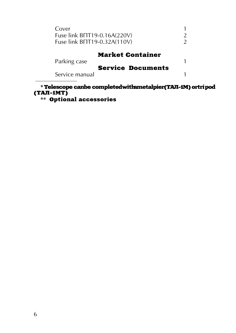| Cover<br>Fuse link BNT19-0.16A(220V)<br>Fuse link BNT19-0.32A(110V) |                                                     |  |
|---------------------------------------------------------------------|-----------------------------------------------------|--|
| Parking case<br>Service manual                                      | <b>Market Container</b><br><b>Service Documents</b> |  |

\* Telescope canbe completed with a metal pier **(ТАЛ-1М)** or tripod (ТАЛ-1МТ)

\*\* Optional accessories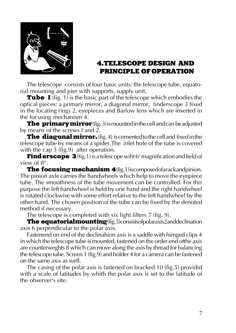

#### 4.TELESCOPE DESIGN and principle of OPERATION

The telescope consists of four basic units: the telescope tube, equatorial mounting and pier with supports, supply unit.

Tube I (fig. 1) is the basic part of the telescope which embodies the optical pieces: a primary mirror, a diagonal mirror, finderscope 3 fixed in the locating rings 2, eyepieces and Barlow lens which are inserted in the focusing mechanism 4.

The primary mirror (fig. 3) is mounted in the cell and can be adjusted by means of the screws I and 2.

**The diagonal mirror.** (fig. 4) is cemented to the cell and fixed in the telescope tube by means of a spider.The inlet hole of the tube is covered with the cap 3 (fig.9) after operation.

**Find erscope 3** (fig.1) is a telescope wiht 6<sup>x</sup> magnification and field of view of 8°.

The focusing mechanism 4 (fig. 1) is composed of a rack and pinion. The pinion axle carries the handwheels which help to move the eyepiece tube. The smoothness of the tube movement can be controlled. For this purpose the left handwheel is held by one hand and the right handwheel is rotated clockwise with some effort relative to the left handwheel by the other hand. The chosen position of the tube can be fixed by the denoted method if necessary.

The telescope is completed with six light filters  $7$  (fig. 9).

**The equatorial mounting** (fig.5) consists of polaraxis 2 and declination axis 6 perpendicular to the polar axis.

Fastenend on end of the declinahion axis is a saddle with himged clips 4 in which the telescope tube is mounted, fastened on the order end ofthe axis are counterweghts 8 which can move along the axis by thread for balancing the telescope tube. Screen 1 (fig.9) and holder 4 for a camera can be fastened on the same axis as well.

The casing of the polar axis is fastened on bracked 10 (fig.5) providid with a scale of latitudes by whith the polar axis is set to the latitude of the observer's site.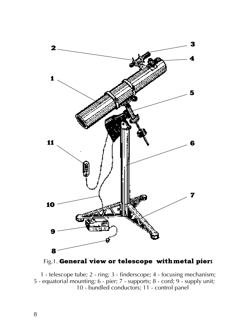

Fig.1. General view or telescope with metal pier:

1 - telescope tube; 2 - ring; 3 - finderscope; 4 - focusing mechanism; 5 - equatorial mounting; 6 - pier; 7 - supports; 8 - cord; 9 - supply unit; 10 - bundled conductors; 11 - control panel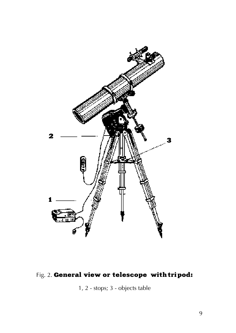

# Fig. 2. General view or telescope with tripod:

1, 2 - stops; 3 - objects table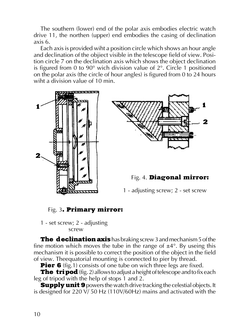The southern (lower) end of the polar axis embodies electric watch drive 11, the northen (upper) end embodies the casing of declination axis 6.

Each axis is provided wiht a position circle which shows an hour angle and declination of the objiect visible in the telescope field of view. Position circle 7 on the declination axis which shows the object declination is figured from 0 to 90 $^{\circ}$  wich division value of 2 $^{\circ}$ . Circle 1 positioned on the polar axis (the circle of hour angles) is figured from 0 to 24 hours wiht a division value of 10 min.





Fig. 4. Diagonal mirror:

1 - adjusting screw; 2 - set screw

#### Fig. 3. Primary mirror:

1 - set screw; 2 - adjusting screw

**The declination axis** has braking screw 3 and mechanism 5 of the fine motion which moves the tube in the range of  $\pm 4^{\circ}$ . By useing this mechanism it is possible to correct the position of the object in the field of view. Theequatorial mounting is connected to pier by thread.

Pier 6 (fig.1) consists of one tube on wich three legs are fixed.

**The tripod** (fig. 2) allows to adjust a height of telescope and to fix each leg of tripod with the help of stops 1 and 2.

**Supply unit 9** powers the watch drive tracking the celestial objects. It is designed for 220 V/ 50 Hz (110V/60Hz) mains and activated with the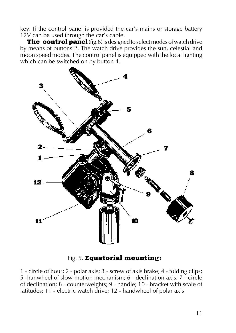key. If the control panel is provided the car's mains or storage battery 12V can be used through the car's cable.

The control panel (fig.6) is designed to select modes of watch drive by means of buttons 2. The watch drive provides the sun, celestial and moon speed modes. The control panel is equipped with the local lighting which can be switched on by button 4.



Fig. 5. Equatorial mounting:

1 - circle of hour; 2 - polar axis; 3 - screw of axis brake; 4 - folding clips; 5 -hanwheel of slow-motion mechanism; 6 - declination axis; 7 - circle of declination; 8 - counterweights; 9 - handle; 10 - bracket with scale of latitudes; 11 - electric watch drive; 12 - handwheel of polar axis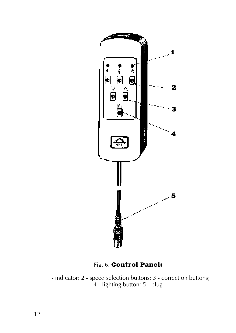

Fig. 6. Control Panel:

1 - indicator; 2 - speed selection buttons; 3 - correction buttons; 4 - lighting button; 5 - plug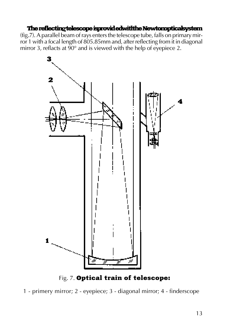#### The reflecting telescope is provided with the Newton optical system

(fig.7). A parallel beam of rays enters the telescope tube, falls on primary mirror 1 with a focal length of 805.85mm and, after reflecting from it in diagonal mirror 3, reflacts at  $\frac{90^{\circ}}{2}$  and is viewed with the help of eyepiece 2.



Fig. 7. Optical train of telescope:

1 - primery mirror; 2 - eyepiece; 3 - diagonal mirror; 4 - finderscope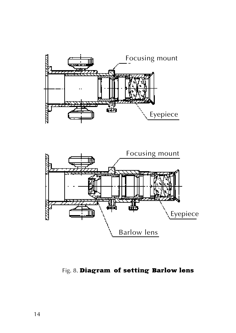



Fig. 8. Diagram of setting Barlow lens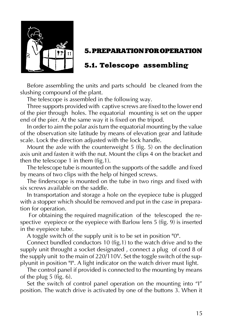

## 5. PREPARATION FOR OPERATION

# 5.1. Telescope assembling

Before assembling the units and parts schould be cleaned from the slushing compound of the plant.

The telescope is assembled in the following way.

Three supports provided with captive screws are fixed to the lower end of the pier through holes. The equatorial mounting is set on the upper end of the pier. At the same way it is fixed on the tripod.

In order to aim the polar axis turn the equatorial mounting by the value of the observation site latitude by means of elevation gear and latitude scale. Lock the direction adjusted with the lock handle.

Mount the axle with the counterweight 5 (fig. 5) on the declination axis unit and fasten it with the nut. Mount the clips 4 on the bracket and then the telescope 1 in them (fig.1).

The telescope tube is mounted on the supports of the saddle and fixed by means of two clips with the help of hinged screws.

The finderscope is mounted on the tube in two rings and fixed with six screws available on the saddle.

In transportation and storage a hole on the eyepiece tube is plugged with a stopper which should be removed and put in the case in preparation for operation.

 For obtaining the required magnification of the telescoped the respective eyepiece or the eyepiece with Barlow lens 5 (fig. 9) is inserted in the eyepiece tube.

A toggle switch of the supply unit is to be set in position "0".

Connect bundled conductors 10 (fig.1) to the watch drive and to the supply unit throught a socket designated , connect a plug of cord 8 of the supply unit to the main of 220/110V. Set the toggle switch of the supplyunit in position "I". A light indicator on the watch driver must light.

The control panel if provided is connected to the mounting by means of the plug 5 (fig. 6).

Set the switch of control panel operation on the mounting into "I" position. The watch drive is activated by one of the buttons 3. When it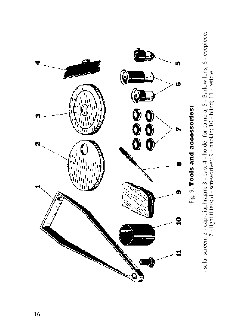

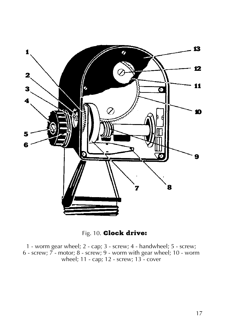

Fig. 10. Clock drive:

1 - worm gear wheel; 2 - cap; 3 - screw; 4 - handwheel; 5 - screw; 6 - screw; 7 - motor; 8 - screw; 9 - worm with gear wheel; 10 - worm wheel; 11 - cap; 12 - screw; 13 - cover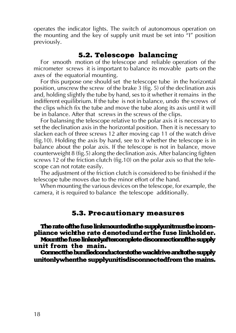operates the indicator lights. The switch of autonomous operation on the mounting and the key of supply unit must be set into "I" position previously.

#### 5.2. Telescope balancing

For smooth motion of the telescope and reliable operation of the micrometer screws it is important to balance its movable parts on the axes of the equatorial mounting.

For this purpose one should set the telescope tube in the horizontal position, unscrew the screw of the brake 3 (fig. 5) of the declination axis and, holding slightly the tube by hand, ses to it whether it remains in the indifferent equilibrium. If the tube is not in balance, undo the screws of the clips which fix the tube and move the tube along its axis until it will be in balance. After that screws in the screws of the clips.

For balansing the telescope relative to the polar axis it is necessary to set the declination axis in the horizontal position. Then it is necessary to slacken each of three screws 12 after moving cap 11 of the watch drive (fig.10). Holding the axis by hand, see to it whether the telescope is in balance about the polar axis. If the telescope is not in balance, move counterweight 8 (fig.5) along the declination axis. After balancing fighten screws 12 of the friction clutch (fig.10) on the polar axis so that the telescope can not rotate easily.

The adjustment of the friction clutch is considered to be finished if the telescope tube moves due to the minor effort of the hand.

When mounting the various devices on the telescope, for example, the camera, it is required to balance the telescope additionally.

#### 5.3. Precautionary measures

The rate of the fuse link mounted in the supply unit must be incompliance wich the rate denoted under the fuse link holder. Mount the fuse link only after complete disconnection of the supply unit from the main.

Connect the bundled conductors to the wachdrive and to the supply unit only when the supply unitisdis connected from the mains.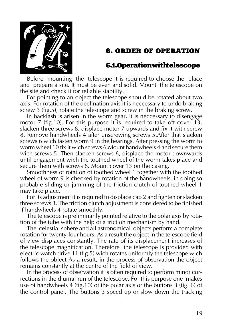

# 6. ORDER OF OPERATION

## 6.1. Operation with telescope

Before mounting the telescope it is required to choose the place and prepare a site. It must be even and solid. Mount the telescope on the site and check it for reliable stability.

For pointing to an object the telescope should be rotated about two axis. For rotation of the declination axis it is neccessary to undo braking screw 3 (fig.5), rotate the telescope and screw in the braking screw.

In backlash is arisen in the worm gear, it is neccessary to disengage motor 7 (fig.10). For this purpose it is required to take off cover 13, slacken three screws 8, displace motor 7 upwards and fix it with screw 8. Remove handwheels 4 after unscrewing screws 5.After that slacken screws 6 wich fasten worm 9 in the bearings. After pressing the worm to worm wheel 10 fix it wich screws 6.Mount handwheels 4 and secure them wich screws 5. Then slacken screws 8, displace the motor downwards until engagement wich the toothed wheel of the worm takes place and secure them with screws 8. Mount cover 13 on the casing.

Smoothness of rotation of toothed wheel 1 together with the toothed wheel of worm 9 is checked by rotation of the handwheels, in doing so probable sliding or jamming of the friction clutch of toothed wheel 1 may take place.

For its adjustment it is required to displace cap 2 and fighten or slacken three screws 3. The friction clutch adjustment is considered to be finished if handwheels 4 rotate smoothly.

The telescope is preliminarily pointed relative to the polar axis by rotation of the tube with the help of a friction mechanism by hand.

The celestial sphere and all astronomical objects perform a complete rotation for twenty-four hours. As a result the object in the telescope field of view displaces constantly. The rate of its displacement increases of the telescope magnification. Therefore the telescope is provided with electric watch drive 11 (fig.5) wich rotates uniformly the telescope wich follows the object As a result, in the process of observation the object remains constantly at the centre of the field of view.

In the process of observation it is often required to perform minor corrections in the diurnal run of the telescope. For this purpose one makes use of handwheels 4 (fig.10) of the polar axis or the buttons 3 (fig. 6) of the control panel. The buttons 3 speed up or slow down the tracking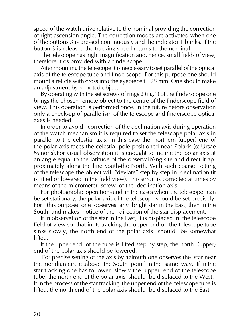speed of the watch drive relative to the nominal providing the correction of right ascension angle. The correction modes are activated when one of the buttons 3 is pressed continuously and the indicator 1 blinks. If the button 3 is released the tracking speed returns to the nominal.

The telescope has hight magnification and, hence, small fields of view, therefore it os provided with a finderscope.

After mounting the telescope it is neccessary to set parallel of the optical axis of the telescope tube and finderscope. For this purpose one should mount a reticle with cross into the eyepiece f'=25 mm. One should make an adjustment by remoted object.

By operating with the set screws of rings 2 (fig.1) of the finderscope one brings the chosen remote object to the centre of the finderscope field of view. This operation is performed once. In the future before observation only a check-up of parallelism of the telescope and finderscope optical axes is needed.

In order to avoid correction of the declination axis during operation of the watch mechanism it is required to set the telescope polar axis in parallel to the celestial axis. In this case the morthern (upper) end of the polar axis faces the celestial pole positioned near Polaris ( $α$  Ursae Minoris).For visual observation it is enought to incline the polar axis at an angle equal to the latitude of the observaib\ng site and direct it approximately along the line South-the North. With such coarse setting of the telescope the object will "deviate" step by step in declination (it is lifted or lowered in the field view). This error is corrected at times by means of the micrometer screw of the declination axis.

For photographic operations and in the cases when the telescope can be set stationary, the polar axis of the telescope should be set precisely. For this purpose one observes any bright star in the East, then in the South and makes notice of the direction of the star displacement.

If in observation of the star in the East, it is displaced in the telescope field of view so that in its tracking the upper end of the telescope tube sinks slowly, the north end of the polar axis should be somewhat lifted.

If the upper end of the tube is lifted step by step, the north (upper) end of the polar axis should be lowered.

 For precise setting of the axis by azimuth one observes the star near the meridian circle (above the South point) in the same way. If in the star tracking one has to lower slowly the upper end of the telescope tube, the north end of the polar axis should be displaced to the West. If in the process of the star tracking the upper end of the telescope tube is lifted, the north end of the polar axis should be displaced to the East.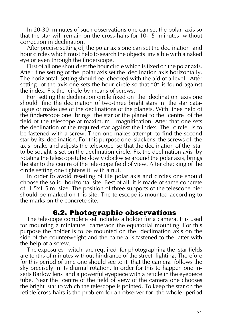In 20-30 minutes of such observations one can set the polar axis so that the star will remain on the cross-hairs for 10-15 minutes without correction in declination.

After precise setting of, the polar axis one can set the declination and hour circles which must help to search the objects invisible with a naked eye or even through the finderscope.

First of all one should set the hour circle which is fixed on the polar axis. After fine setting of the polar axis set the declination axis horizontally. The horizontal setting should be checked with the aid of a level. After setting of the axis one sets the hour circle so that "0" is found against the index. Fix the circle by means of screws.

For setting the declination circle fixed on the declination axis one should find the declination of two-three bright stars in the star catalogue or make use of the declinations of the planets. With thee help of the finderscope one brings the star or the planet to the centre of the field of the telescope at maximum magnification. After that one sets the declination of the required star against the index. The circle is to be fastened with a screw. Then one makes attempt to find the second star by its declination. For this purpose one slackens the screws of the axis brake and adjusts the telescope so that the declination of the star to be sought is set on the declination circle. Fix the declination axis by rotating the telescope tube slowly clockwise around the polar axis, brings the star to the centre of the telescope field of view. After checking of the circle setting one tightens it with a nut.

In order to avoid resetting of tile polar axis and circles one should choose the solid horizontal site. Best of all, it is made of same concrete of 1.5x1.5 m size. The position of three supports of the telescope pier should be marked on this site. The telescope is mounted according to the marks on the concrete site.

#### 6.2. Photographic observations

The telescope complete set includes a holder for a camera. It is used for mounting a miniature cameraon the equatorial mounting. For this purpose the holder is to be mounted on the declimation axis on the side of the counterweight and the camera is fastened to the latter with the help of a screw.

The exposures witch are required for photographing the star fields are tenths of minutes without hindrance of the street lighting. Therefore for this period of time one should see to it that the camera follows the sky precisely in its diurnal rotation. In order for this to happen one inserts Barlow lens and a powerful eyepiece with a reticle in the eyepiece tube. Near the centre of the field of view of the camera one chooses the bright star to which the telescope is pointed. To keep the star on the reticle cross-hairs is the problem for an observer for the whole period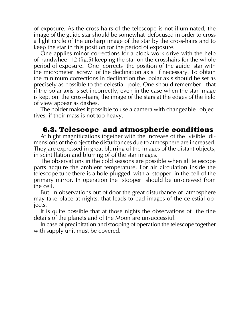of exposure. As the cross-hairs of the telescope is not illuminated, the image of the guide star should be somewhat defocused in order to cross a light circle of the unsharp image of the star by the cross-hairs and to keep the star in this position for the period of exposure.

One applies minor corrections for a clock-work drive with the help of handwheel 12 (fig.5) keeping the star on the crosshairs for the whole period of exposure. One corrects the position of the guide star with the micrometer screw of the declination axis if necessary. To obtain the minimum corrections in declination the polar axis should be set as precisely as possible to the celestial pole. One should remember that if the polar axis is set incorrectly, even in the case when the star image is kept on the cross-hairs, the image of the stars at the edges of the field of view appear as dashes.

The holder makes it possible to use a camera with changeable objectives, if their mass is not too heavy.

#### 6.3. Telescope and atmospheric conditions

At hight magnifications together with the increase of the visible dimensions of the object the disturbances due to atmosphere are increased. They are expressed in great blurring of the images of the distant objects, in scintillation and blurring of of the star images.

The observations in the cold seasons are possible when all telescope parts acquire the ambient temperature. For air circulation inside the telescope tube there is a hole plugged with a stopper in the cell of the primary mirror. In operation the stopper should be unscrewed from the cell.

But in observations out of door the great disturbance of atmosphere may take place at nights, that leads to bad images of the celestial objects.

It is quite possible that at those nights the observations of the fine details of the planets and of the Moon are unsuccessful.

In case of precipitation and stooping of operation the telescope together with supply unit must be covered.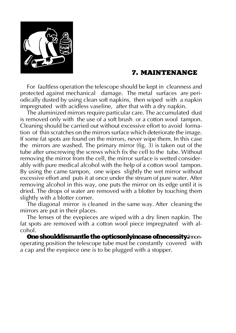

#### 7. MAINTENANCE

For faultless operation the telescope should be kept in cleanness and protected against mechanical damage. The metal surfaces are periodically dusted by using clean soft napkins, then wiped with a napkin impregnated with acidless vaseline, after that with a dry napkin.

The aluminized mirrors require particular care. The accumulated dust is removed only with the use of a soft brush or a cotton wool tampon. Cleaning should be carried out without excessive effort to avoid formation of thin scratches on the mirrors surface which deteriorate the image. If some fat spots are found on the mirrors, never wipe them. In this case the mirrors are washed. The primary mirror (fig. 3) is taken out of the tube after unscrewing the screws which fix the cell to the tube. Without removing the mirror from the cell, the mirror surface is wetted considerably with pure medical alcohol with the help of a cotton wool tampon. By using the came tampon, one wipes slightly the wet mirror without excessive effort and puts it at once under the stream of pure water. After removing alcohol in this way, one puts the mirror on its edge until it is dried. The drops of water are removed with a blotter by touching them slightly with a blotter corner.

The diagonal mirror is cleaned in the same way. After cleaning the mirrors are put in their places.

The lenses of the eyepieces are wiped with a dry linen napkin. The fat spots are removed with a cotton wool piece impregnated with alcohol.

One should dismantle the optics only incase of necessity. Innonoperating position the telescope tube must be constantly covered with a cap and the eyepiece one is to be plugged with a stopper.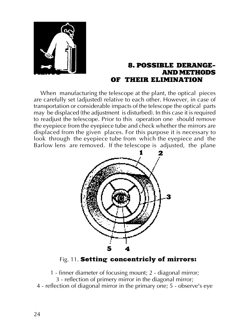

#### 8. POSSIBLE DERANGE-**AND METHODS** OF THEIR ELIMINATION

When manufacturing the telescope at the plant, the optical pieces are carefully set (adjusted) relative to each other. However, in case of transportation or considerable impacts of the telescope the optical parts may be displaced (the adjustment is disturbed). In this case it is required to readjust the telescope. Prior to this operation one should remove the eyepiece from the eyepiece tube and check whether the mirrors are displaced from the given places. For this purpose it is necessary to look through the eyepiece tube from which the eyepiece and the Barlow lens are removed. If the telescope is adjusted, the plane



#### Fig. 11. Setting concentricly of mirrors:

- 1 finner diameter of focusing mount; 2 diagonal mirror; 3 - reflection of primery mirror in the diagonal mirror;
- 4 reflection of diagonal mirror in the primary one; 5 observe's eye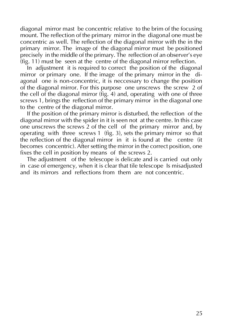diagonal mirror mast be concentric relative to the brim of the focusing mount. The reflection of the primary mirror in the diagonal one must be concentric as well. The reflection of the diagonal mirror with the in the primary mirror. The image of the diagonal mirror must be positioned precisely in the middle of the primary. The reflection of an observer's eye  $(fig. 11)$  must be seen at the centre of the diagonal mirror reflection.

In adjustment it is required to correct the position of the diagonal mirror or primary one. If the image of the primary mirror in the diagonal one is non-concentric, it is neccessary to change the position of the diagonal mirror. For this purpose one unscrews the screw 2 of the cell of the diagonal mirror (fig. 4) and, operating with one of three screws 1, brings the reflection of the primary mirror in the diagonal one to the centre of the diagonal mirror.

If the position of the primary mirror is disturbed, the reflection of the diagonal mirror with the spider in it is seen not at the centre. In this case one unscrews the screws 2 of the cell of the primary mirror and, by operating with three screws 1 (fig. 3), sets the primary mirror so that the reflection of the diagonal mirror in it is found at the centre (it becomes concentric). After setting the mirror in the correct position, one fixes the cell in position by means of the screws 2.

The adjustment of the telescope is delicate and is carried out only in case of emergency, when it is clear that tile telescope Is misadjusted and its mirrors and reflections from them are not concentric.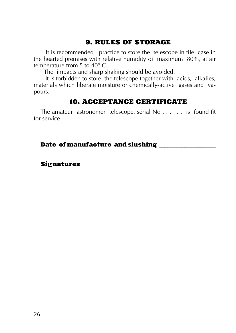# 9. RULES OF STORAGE

 It is recommended practice to store the telescope in tile case in the hearted premises with relative humidity of maximum 80%, at air temperature from 5 to 40° C.

The impacts and sharp shaking should be avoided.

 It is forbidden to store the telescope together with acids, alkalies, materials which liberate moisture or chemically-active gases and vapours.

#### 10. ACCEPTANCE CERTIFICATE

The amateur astronomer telescope, serial No . . . . . . is found fit for service

#### Date of manufacture and slushing \_\_\_\_\_\_\_\_\_\_\_\_\_\_\_\_

Signatures \_\_\_\_\_\_\_\_\_\_\_\_\_\_\_\_\_\_\_